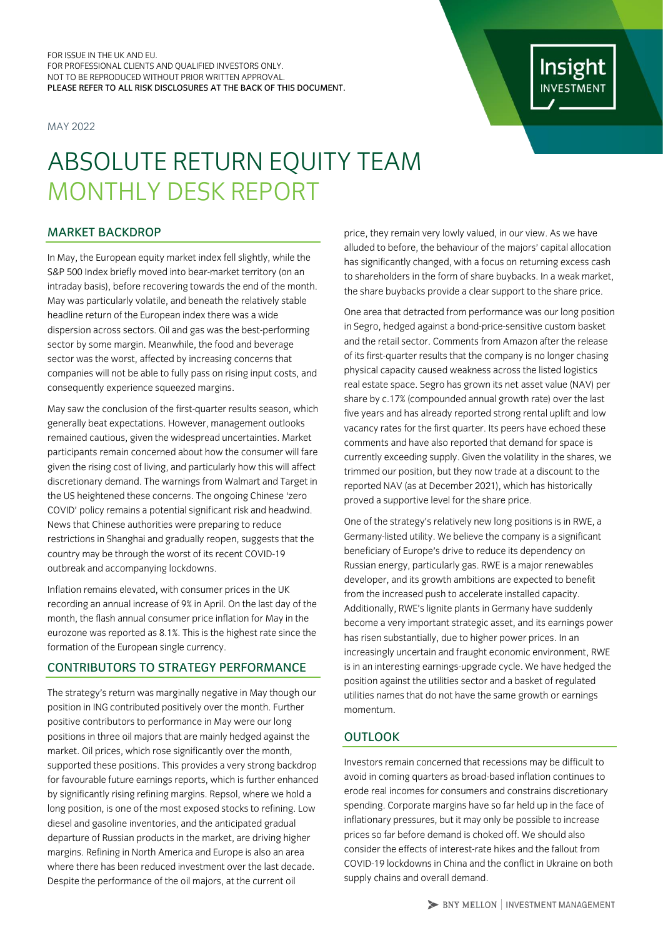MAY 2022



# ABSOLUTE RETURN EQUITY TEAM MONTHLY DESK REPORT

# MARKET BACKDROP

In May, the European equity market index fell slightly, while the S&P 500 Index briefly moved into bear-market territory (on an intraday basis), before recovering towards the end of the month. May was particularly volatile, and beneath the relatively stable headline return of the European index there was a wide dispersion across sectors. Oil and gas was the best-performing sector by some margin. Meanwhile, the food and beverage sector was the worst, affected by increasing concerns that companies will not be able to fully pass on rising input costs, and consequently experience squeezed margins.

May saw the conclusion of the first-quarter results season, which generally beat expectations. However, management outlooks remained cautious, given the widespread uncertainties. Market participants remain concerned about how the consumer will fare given the rising cost of living, and particularly how this will affect discretionary demand. The warnings from Walmart and Target in the US heightened these concerns. The ongoing Chinese 'zero COVID' policy remains a potential significant risk and headwind. News that Chinese authorities were preparing to reduce restrictions in Shanghai and gradually reopen, suggests that the country may be through the worst of its recent COVID-19 outbreak and accompanying lockdowns.

Inflation remains elevated, with consumer prices in the UK recording an annual increase of 9% in April. On the last day of the month, the flash annual consumer price inflation for May in the eurozone was reported as 8.1%. This is the highest rate since the formation of the European single currency.

# CONTRIBUTORS TO STRATEGY PERFORMANCE

The strategy's return was marginally negative in May though our position in ING contributed positively over the month. Further positive contributors to performance in May were our long positions in three oil majors that are mainly hedged against the market. Oil prices, which rose significantly over the month, supported these positions. This provides a very strong backdrop for favourable future earnings reports, which is further enhanced by significantly rising refining margins. Repsol, where we hold a long position, is one of the most exposed stocks to refining. Low diesel and gasoline inventories, and the anticipated gradual departure of Russian products in the market, are driving higher margins. Refining in North America and Europe is also an area where there has been reduced investment over the last decade. Despite the performance of the oil majors, at the current oil

price, they remain very lowly valued, in our view. As we have alluded to before, the behaviour of the majors' capital allocation has significantly changed, with a focus on returning excess cash to shareholders in the form of share buybacks. In a weak market, the share buybacks provide a clear support to the share price.

One area that detracted from performance was our long position in Segro, hedged against a bond-price-sensitive custom basket and the retail sector. Comments from Amazon after the release of its first-quarter results that the company is no longer chasing physical capacity caused weakness across the listed logistics real estate space. Segro has grown its net asset value (NAV) per share by c.17% (compounded annual growth rate) over the last five years and has already reported strong rental uplift and low vacancy rates for the first quarter. Its peers have echoed these comments and have also reported that demand for space is currently exceeding supply. Given the volatility in the shares, we trimmed our position, but they now trade at a discount to the reported NAV (as at December 2021), which has historically proved a supportive level for the share price.

One of the strategy's relatively new long positions is in RWE, a Germany-listed utility. We believe the company is a significant beneficiary of Europe's drive to reduce its dependency on Russian energy, particularly gas. RWE is a major renewables developer, and its growth ambitions are expected to benefit from the increased push to accelerate installed capacity. Additionally, RWE's lignite plants in Germany have suddenly become a very important strategic asset, and its earnings power has risen substantially, due to higher power prices. In an increasingly uncertain and fraught economic environment, RWE is in an interesting earnings-upgrade cycle. We have hedged the position against the utilities sector and a basket of regulated utilities names that do not have the same growth or earnings momentum.

## **OUTLOOK**

Investors remain concerned that recessions may be difficult to avoid in coming quarters as broad-based inflation continues to erode real incomes for consumers and constrains discretionary spending. Corporate margins have so far held up in the face of inflationary pressures, but it may only be possible to increase prices so far before demand is choked off. We should also consider the effects of interest-rate hikes and the fallout from COVID-19 lockdowns in China and the conflict in Ukraine on both supply chains and overall demand.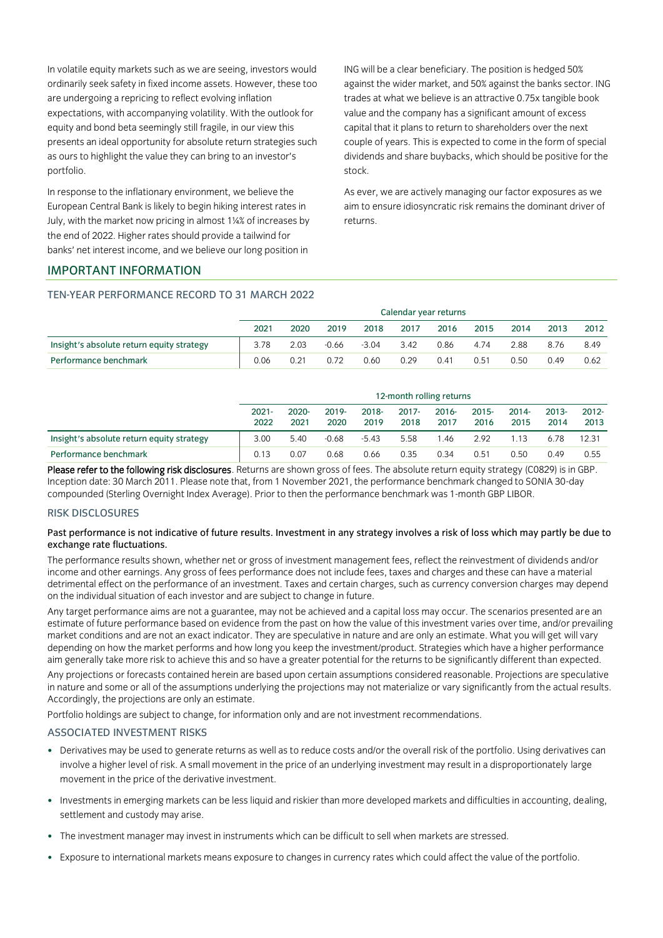In volatile equity markets such as we are seeing, investors would ordinarily seek safety in fixed income assets. However, these too are undergoing a repricing to reflect evolving inflation expectations, with accompanying volatility. With the outlook for equity and bond beta seemingly still fragile, in our view this presents an ideal opportunity for absolute return strategies such as ours to highlight the value they can bring to an investor's portfolio.

In response to the inflationary environment, we believe the European Central Bank is likely to begin hiking interest rates in July, with the market now pricing in almost 1¼% of increases by the end of 2022. Higher rates should provide a tailwind for banks' net interest income, and we believe our long position in

ING will be a clear beneficiary. The position is hedged 50% against the wider market, and 50% against the banks sector. ING trades at what we believe is an attractive 0.75x tangible book value and the company has a significant amount of excess capital that it plans to return to shareholders over the next couple of years. This is expected to come in the form of special dividends and share buybacks, which should be positive for the stock.

As ever, we are actively managing our factor exposures as we aim to ensure idiosyncratic risk remains the dominant driver of returns.

## IMPORTANT INFORMATION

#### TEN-YEAR PERFORMANCE RECORD TO 31 MARCH 2022

|                                           | Calendar year returns |      |         |         |      |      |      |      |      |      |
|-------------------------------------------|-----------------------|------|---------|---------|------|------|------|------|------|------|
|                                           | 2021                  | 2020 | 2019    | 2018    | 2017 | 2016 | 2015 | 2014 | 2013 | 2012 |
| Insight's absolute return equity strategy | 3.78                  | 2.03 | $-0.66$ | $-3.04$ | 3.42 | 0.86 | 4.74 | 2.88 | 8.76 | 8.49 |
| Performance benchmark                     | 0.06                  | 0.21 | 0.72    | 0.60    | 0.29 | 0.41 | 0.51 | 0.50 | 0.49 | 0.62 |

|                                           | 12-month rolling returns |                  |               |                  |                  |                  |                  |                  |                  |                  |
|-------------------------------------------|--------------------------|------------------|---------------|------------------|------------------|------------------|------------------|------------------|------------------|------------------|
|                                           | $2021 -$<br>2022         | $2020 -$<br>2021 | 2019-<br>2020 | $2018 -$<br>2019 | $2017 -$<br>2018 | $2016 -$<br>2017 | $2015 -$<br>2016 | $2014 -$<br>2015 | $2013 -$<br>2014 | $2012 -$<br>2013 |
| Insight's absolute return equity strategy | 3.00                     | 5.40             | $-0.68$       | $-5.43$          | 5.58             | 1.46             | 2.92             | .13              | 6.78             | 12.31            |
| Performance benchmark                     | 0.13                     | 0.07             | 0.68          | 0.66             | 0.35             | 0.34             | 0.51             | 0.50             | 0.49             | 0.55             |

Please refer to the following risk disclosures. Returns are shown gross of fees. The absolute return equity strategy (C0829) is in GBP. Inception date: 30 March 2011. Please note that, from 1 November 2021, the performance benchmark changed to SONIA 30-day compounded (Sterling Overnight Index Average). Prior to then the performance benchmark was 1-month GBP LIBOR.

## RISK DISCLOSURES

### Past performance is not indicative of future results. Investment in any strategy involves a risk of loss which may partly be due to exchange rate fluctuations.

The performance results shown, whether net or gross of investment management fees, reflect the reinvestment of dividends and/or income and other earnings. Any gross of fees performance does not include fees, taxes and charges and these can have a material detrimental effect on the performance of an investment. Taxes and certain charges, such as currency conversion charges may depend on the individual situation of each investor and are subject to change in future.

Any target performance aims are not a guarantee, may not be achieved and a capital loss may occur. The scenarios presented are an estimate of future performance based on evidence from the past on how the value of this investment varies over time, and/or prevailing market conditions and are not an exact indicator. They are speculative in nature and are only an estimate. What you will get will vary depending on how the market performs and how long you keep the investment/product. Strategies which have a higher performance aim generally take more risk to achieve this and so have a greater potential for the returns to be significantly different than expected.

Any projections or forecasts contained herein are based upon certain assumptions considered reasonable. Projections are speculative in nature and some or all of the assumptions underlying the projections may not materialize or vary significantly from the actual results. Accordingly, the projections are only an estimate.

Portfolio holdings are subject to change, for information only and are not investment recommendations.

### ASSOCIATED INVESTMENT RISKS

- Derivatives may be used to generate returns as well as to reduce costs and/or the overall risk of the portfolio. Using derivatives can involve a higher level of risk. A small movement in the price of an underlying investment may result in a disproportionately large movement in the price of the derivative investment.
- Investments in emerging markets can be less liquid and riskier than more developed markets and difficulties in accounting, dealing, settlement and custody may arise.
- The investment manager may invest in instruments which can be difficult to sell when markets are stressed.
- Exposure to international markets means exposure to changes in currency rates which could affect the value of the portfolio.